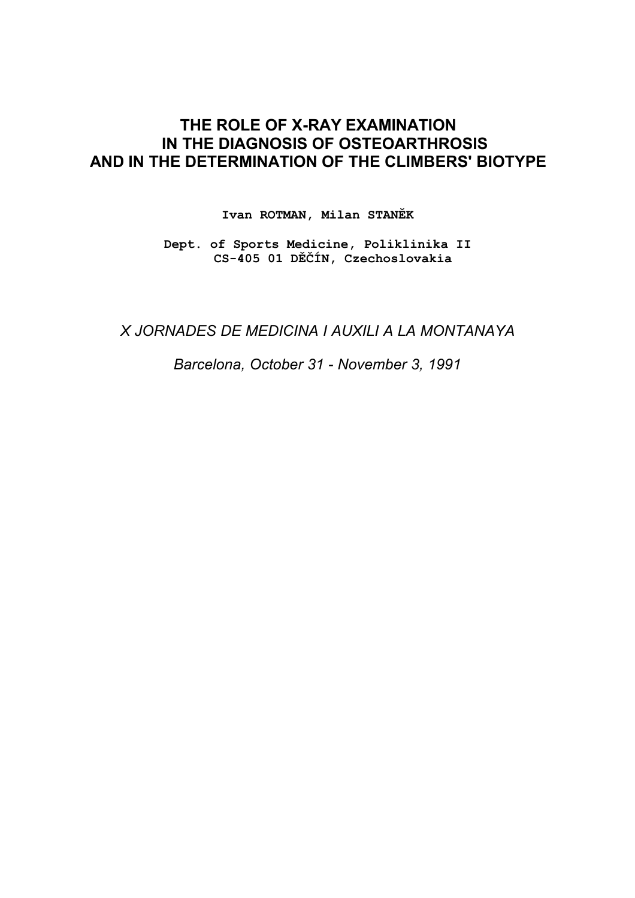# **THE ROLE OF X-RAY EXAMINATION IN THE DIAGNOSIS OF OSTEOARTHROSIS AND IN THE DETERMINATION OF THE CLIMBERS' BIOTYPE**

**Ivan ROTMAN, Milan STANĚK**

**Dept. of Sports Medicine, Poliklinika II CS-405 01 DĚČÍN, Czechoslovakia**

*X JORNADES DE MEDICINA I AUXILI A LA MONTANAYA*

*Barcelona, October 31 - November 3, 1991*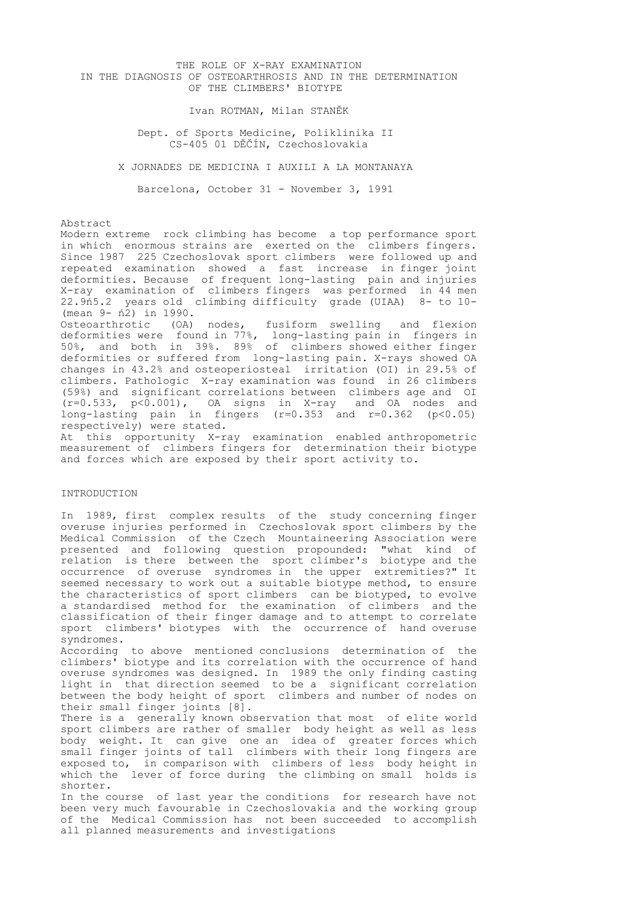## THE ROLE OF X-RAY EXAMINATION IN THE DIAGNOSIS OF OSTEOARTHROSIS AND IN THE DETERMINATION OF THE CLIMBERS' BIOTYPE

Ivan ROTMAN, Milan STANĚK

 Dept. of Sports Medicine, Poliklinika II CS-405 01 DĚČÍN, Czechoslovakia

X JORNADES DE MEDICINA I AUXILI A LA MONTANAYA

Barcelona, October 31 - November 3, 1991

Abstract

Modern extreme rock climbing has become a top performance sport in which enormous strains are exerted on the climbers fingers. Since 1987 225 Czechoslovak sport climbers were followed up and repeated examination showed a fast increase in finger joint deformities. Because of frequent long-lasting pain and injuries X-ray examination of climbers fingers was performed in 44 men 22.9ń5.2 years old climbing difficulty grade (UIAA) 8- to 10- (mean 9- ń2) in 1990.

Osteoarthrotic (OA) nodes, fusiform swelling and flexion deformities were found in 77%, long-lasting pain in fingers in 50%, and both in 39%. 89% of climbers showed either finger deformities or suffered from long-lasting pain. X-rays showed OA changes in 43.2% and osteoperiosteal irritation (OI) in 29.5% of climbers. Pathologic X-ray examination was found in 26 climbers (59%) and significant correlations between climbers age and OI (r=0.533, p<0.001), OA signs in X-ray and OA nodes and long-lasting pain in fingers  $(r=0.353$  and  $r=0.362$  (p<0.05) respectively) were stated.

At this opportunity X-ray examination enabled anthropometric measurement of climbers fingers for determination their biotype and forces which are exposed by their sport activity to.

## INTRODUCTION

In 1989, first complex results of the study concerning finger overuse injuries performed in Czechoslovak sport climbers by the Medical Commission of the Czech Mountaineering Association were presented and following question propounded: "what kind of relation is there between the sport climber's biotype and the occurrence of overuse syndromes in the upper extremities?" It seemed necessary to work out a suitable biotype method, to ensure the characteristics of sport climbers can be biotyped, to evolve a standardised method for the examination of climbers and the classification of their finger damage and to attempt to correlate sport climbers' biotypes with the occurrence of hand overuse syndromes.

According to above mentioned conclusions determination of the climbers' biotype and its correlation with the occurrence of hand overuse syndromes was designed. In 1989 the only finding casting light in that direction seemed to be a significant correlation between the body height of sport climbers and number of nodes on their small finger joints [8].

There is a generally known observation that most of elite world sport climbers are rather of smaller body height as well as less body weight. It can give one an idea of greater forces which small finger joints of tall climbers with their long fingers are exposed to, in comparison with climbers of less body height in which the lever of force during the climbing on small holds is shorter.

In the course of last year the conditions for research have not been very much favourable in Czechoslovakia and the working group of the Medical Commission has not been succeeded to accomplish all planned measurements and investigations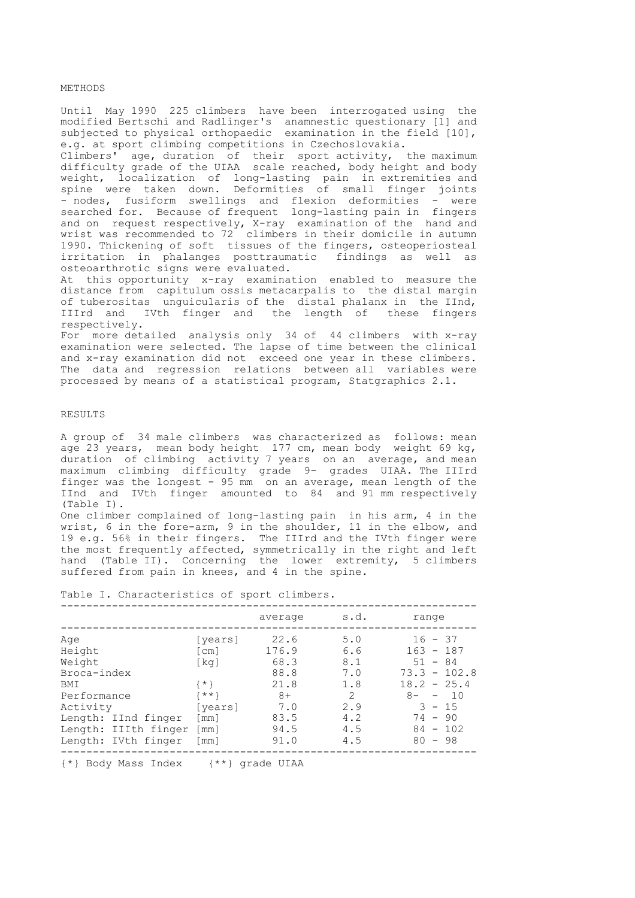#### **METHODS**

Until May 1990 225 climbers have been interrogated using the modified Bertschi and Radlinger's anamnestic questionary [1] and subjected to physical orthopaedic examination in the field [10], e.g. at sport climbing competitions in Czechoslovakia.

Climbers' age, duration of their sport activity, the maximum difficulty grade of the UIAA scale reached, body height and body weight, localization of long-lasting pain in extremities and spine were taken down. Deformities of small finger joints - nodes, fusiform swellings and flexion deformities - were searched for. Because of frequent long-lasting pain in fingers and on request respectively, X-ray examination of the hand and wrist was recommended to 72 climbers in their domicile in autumn 1990. Thickening of soft tissues of the fingers, osteoperiosteal irritation in phalanges posttraumatic findings as well as osteoarthrotic signs were evaluated.

At this opportunity x-ray examination enabled to measure the distance from capitulum ossis metacarpalis to the distal margin of tuberositas unguicularis of the distal phalanx in the IInd, IIIrd and IVth finger and the length of these fingers respectively.

For more detailed analysis only 34 of 44 climbers with x-ray examination were selected. The lapse of time between the clinical and x-ray examination did not exceed one year in these climbers. The data and regression relations between all variables were processed by means of a statistical program, Statgraphics 2.1.

## RESULTS

A group of 34 male climbers was characterized as follows: mean age 23 years, mean body height 177 cm, mean body weight 69 kg, duration of climbing activity 7 years on an average, and mean maximum climbing difficulty grade 9- grades UIAA. The IIIrd finger was the longest - 95 mm on an average, mean length of the IInd and IVth finger amounted to 84 and 91 mm respectively (Table I).

One climber complained of long-lasting pain in his arm, 4 in the wrist, 6 in the fore-arm, 9 in the shoulder, 11 in the elbow, and 19 e.g. 56% in their fingers. The IIIrd and the IVth finger were the most frequently affected, symmetrically in the right and left hand (Table II). Concerning the lower extremity, 5 climbers suffered from pain in knees, and 4 in the spine.

Table I. Characteristics of sport climbers.

|                                                                                                                                                       |                                                                                                                                                                  | average                                                                      | s.d.                                                             | range                                                                                                                                              |
|-------------------------------------------------------------------------------------------------------------------------------------------------------|------------------------------------------------------------------------------------------------------------------------------------------------------------------|------------------------------------------------------------------------------|------------------------------------------------------------------|----------------------------------------------------------------------------------------------------------------------------------------------------|
| Age<br>Height<br>Weight<br>Broca-index<br><b>BMT</b><br>Performance<br>Activity<br>Length: IInd finger<br>Length: IIIth finger<br>Length: IVth finger | [years]<br>$\lceil$ cm $\rceil$<br>$\lceil kq \rceil$<br>$\{ * \}$<br>$\{***\}$<br>[years]<br>$\lceil$ mm $\rceil$<br>$\lceil mm \rceil$<br>$\lceil$ mm $\rceil$ | 22.6<br>176.9<br>68.3<br>88.8<br>21.8<br>$8+$<br>7.0<br>83.5<br>94.5<br>91.0 | 5.0<br>6.6<br>8.1<br>7.0<br>1.8<br>2<br>2.9<br>4.2<br>4.5<br>4.5 | $16 - 37$<br>$163 - 187$<br>$51 - 84$<br>$73.3 - 102.8$<br>$18.2 - 25.4$<br>$8 -$<br>10<br>$-$<br>$3 - 15$<br>$74 - 90$<br>$84 - 102$<br>$80 - 98$ |
|                                                                                                                                                       |                                                                                                                                                                  |                                                                              |                                                                  |                                                                                                                                                    |

{\*} Body Mass Index {\*\*} grade UIAA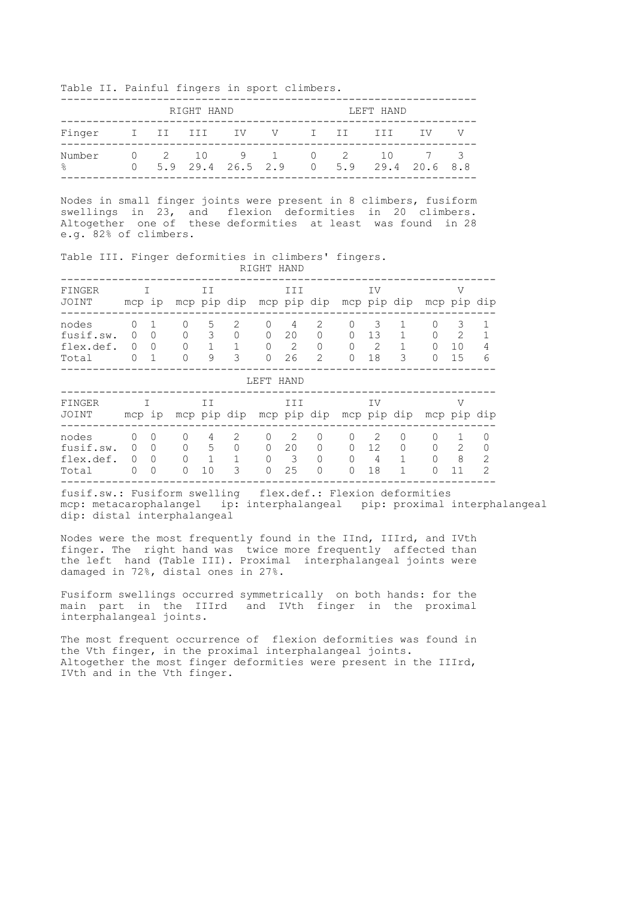Table II. Painful fingers in sport climbers.

|                                    | RIGHT HAND |  |  |  |  |  |  | LEFT HAND                                                          |  |
|------------------------------------|------------|--|--|--|--|--|--|--------------------------------------------------------------------|--|
| Finger I II III IV V I II III IV V |            |  |  |  |  |  |  |                                                                    |  |
| Number<br>$\frac{1}{2}$            |            |  |  |  |  |  |  | 0 2 10 9 1 0 2 10 7 3<br>$0$ 5.9 29.4 26.5 2.9 0 5.9 29.4 20.6 8.8 |  |

Nodes in small finger joints were present in 8 climbers, fusiform swellings in 23, and flexion deformities in 20 climbers. Altogether one of these deformities at least was found in 28 e.g. 82% of climbers.

Table III. Finger deformities in climbers' fingers. RIGHT HAND

| FINGER<br>JOINT                          | mcp ip                                |                                |        | ΙI           | mcp pip dip |                                     | III                | mcp pip dip                                                                                                                                                                                 |                                            | IV                 | mcp pip dip        |                                | ٦Z<br>mcp pip dip               |                                      |
|------------------------------------------|---------------------------------------|--------------------------------|--------|--------------|-------------|-------------------------------------|--------------------|---------------------------------------------------------------------------------------------------------------------------------------------------------------------------------------------|--------------------------------------------|--------------------|--------------------|--------------------------------|---------------------------------|--------------------------------------|
| nodes<br>fusif.sw.<br>flex.def.<br>Total | 0<br>$\Omega$<br>$\Omega$             | $\Omega$<br>0<br>$\mathbf{1}$  | Ω<br>0 | 5<br>3<br>9  | 2<br>0<br>3 | 0<br>$\Omega$<br>$\cap$<br>$\Omega$ | 4<br>20<br>2<br>26 | $\mathcal{D}_{\mathcal{L}}^{\mathcal{L}}(\mathcal{L})=\mathcal{D}_{\mathcal{L}}^{\mathcal{L}}(\mathcal{L})\mathcal{D}_{\mathcal{L}}^{\mathcal{L}}(\mathcal{L})$<br>0<br>0<br>$\overline{2}$ | $\Omega$<br>$\cap$<br>$\Omega$<br>$\Omega$ | 3<br>13<br>2<br>18 | 3                  | 0<br>$\Omega$<br>∩<br>$\Omega$ | 3<br>$\mathfrak{D}$<br>10<br>15 | 4<br>6                               |
| LEFT HAND                                |                                       |                                |        |              |             |                                     |                    |                                                                                                                                                                                             |                                            |                    |                    |                                |                                 |                                      |
| FINGER<br>JOINT                          | mcp ip                                |                                |        | IΙ           | mcp pip dip |                                     | III                | mcp pip dip mcp pip dip                                                                                                                                                                     |                                            | IV                 |                    | mcp pip dip                    | ٦Z                              |                                      |
| nodes<br>fusif.sw.<br>flex.def.<br>Total | 0<br>$\Omega$<br>$\Omega$<br>$\Omega$ | 0<br>O<br>$\Omega$<br>$\Omega$ | 0<br>0 | 4<br>5<br>10 | 2<br>0<br>3 | $\Omega$<br>$\Omega$<br>0<br>0      | 2<br>20<br>3<br>25 | 0<br>$\Omega$<br>0<br>$\Omega$                                                                                                                                                              | $\Omega$<br>O<br>$\Omega$<br>$\Omega$      | 2<br>12<br>4<br>18 | $\Omega$<br>0<br>1 | O<br>$\cap$                    | 1<br>2<br>8<br>11               | $\Omega$<br>0<br>2<br>$\overline{2}$ |

fusif.sw.: Fusiform swelling flex.def.: Flexion deformities mcp: metacarophalangel ip: interphalangeal pip: proximal interphalangeal dip: distal interphalangeal

Nodes were the most frequently found in the IInd, IIIrd, and IVth finger. The right hand was twice more frequently affected than the left hand (Table III). Proximal interphalangeal joints were damaged in 72%, distal ones in 27%.

Fusiform swellings occurred symmetrically on both hands: for the main part in the IIIrd and IVth finger in the proximal interphalangeal joints.

The most frequent occurrence of flexion deformities was found in the Vth finger, in the proximal interphalangeal joints. Altogether the most finger deformities were present in the IIIrd, IVth and in the Vth finger.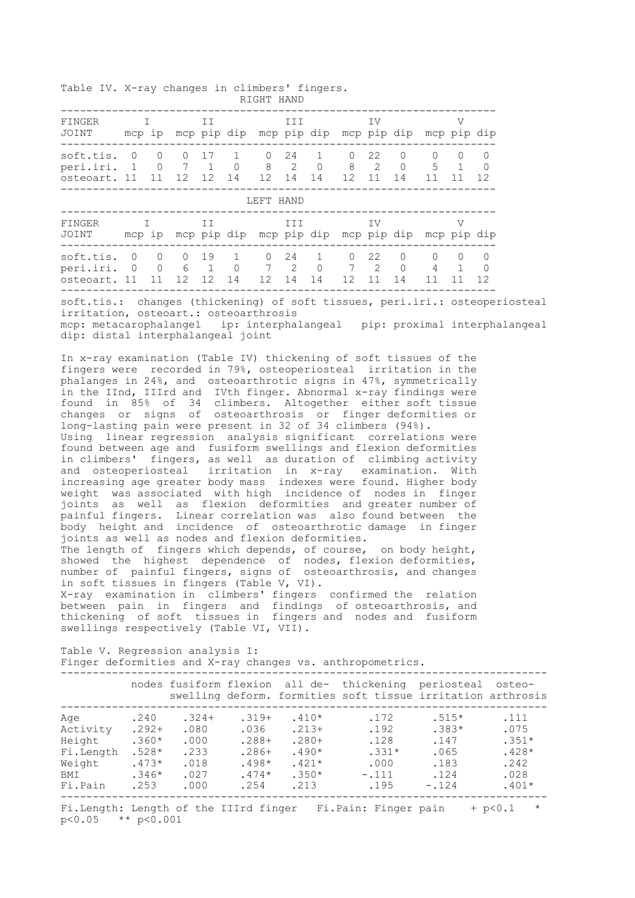Table IV. X-ray changes in climbers' fingers. RIGHT HAND

| FINGER<br>JOINT                                                                                                                                                                                                                                                                                                                                                                                                                                                                                                                                                                                                                                                                                                                                                                                                                                                                                                                                                                                                                                                                                                                                                                                                                                                                                                                                                                                                                                                                                                                                                                                                                                                                                                                        | $\mathbf{I}$ and $\mathbf{I}$                                                                                                                                                                                                         |    |  | II |                        | II                    |  |                                  | IV                           |                      |                                  | mcp ip mcp pip dip mcp pip dip mcp pip dip mcp pip dip | V                                             |                                     |                                                                                                                            |
|----------------------------------------------------------------------------------------------------------------------------------------------------------------------------------------------------------------------------------------------------------------------------------------------------------------------------------------------------------------------------------------------------------------------------------------------------------------------------------------------------------------------------------------------------------------------------------------------------------------------------------------------------------------------------------------------------------------------------------------------------------------------------------------------------------------------------------------------------------------------------------------------------------------------------------------------------------------------------------------------------------------------------------------------------------------------------------------------------------------------------------------------------------------------------------------------------------------------------------------------------------------------------------------------------------------------------------------------------------------------------------------------------------------------------------------------------------------------------------------------------------------------------------------------------------------------------------------------------------------------------------------------------------------------------------------------------------------------------------------|---------------------------------------------------------------------------------------------------------------------------------------------------------------------------------------------------------------------------------------|----|--|----|------------------------|-----------------------|--|----------------------------------|------------------------------|----------------------|----------------------------------|--------------------------------------------------------|-----------------------------------------------|-------------------------------------|----------------------------------------------------------------------------------------------------------------------------|
| soft.tis. 0 0 0 17 1 0 24 1 0 22 0 0<br>peri.iri. 1 0 7 1 0 8 2 0 8 2 0 5<br>osteoart. 11 11 12 12 14 12 14 14 12 11 14 11 11                                                                                                                                                                                                                                                                                                                                                                                                                                                                                                                                                                                                                                                                                                                                                                                                                                                                                                                                                                                                                                                                                                                                                                                                                                                                                                                                                                                                                                                                                                                                                                                                          |                                                                                                                                                                                                                                       |    |  |    |                        |                       |  |                                  |                              |                      |                                  | 5 <sup>5</sup>                                         | $\circ$<br>$\overline{1}$                     | 0<br>$\overline{\phantom{0}}$<br>12 |                                                                                                                            |
|                                                                                                                                                                                                                                                                                                                                                                                                                                                                                                                                                                                                                                                                                                                                                                                                                                                                                                                                                                                                                                                                                                                                                                                                                                                                                                                                                                                                                                                                                                                                                                                                                                                                                                                                        |                                                                                                                                                                                                                                       |    |  |    |                        | LEFT HAND             |  |                                  |                              |                      |                                  |                                                        |                                               |                                     |                                                                                                                            |
| FINGER<br>JOINT mcp ip mcp pip dip mcp pip dip mcp pip dip mcp pip dip                                                                                                                                                                                                                                                                                                                                                                                                                                                                                                                                                                                                                                                                                                                                                                                                                                                                                                                                                                                                                                                                                                                                                                                                                                                                                                                                                                                                                                                                                                                                                                                                                                                                 |                                                                                                                                                                                                                                       | I. |  | II |                        | III <i>III</i>        |  |                                  |                              | IV                   |                                  |                                                        | V                                             |                                     |                                                                                                                            |
| soft.tis. 0 0 0 19 1 0 24<br>peri.iri. 0 0 6 1<br>osteoart. 11 11 12 12 14 12 14 14 12 11 14                                                                                                                                                                                                                                                                                                                                                                                                                                                                                                                                                                                                                                                                                                                                                                                                                                                                                                                                                                                                                                                                                                                                                                                                                                                                                                                                                                                                                                                                                                                                                                                                                                           |                                                                                                                                                                                                                                       |    |  |    |                        | $0 \qquad 7 \qquad 2$ |  | $\overline{1}$<br>$\overline{0}$ | $\overline{0}$<br>$7\quad 2$ | 22                   | $\overline{0}$<br>$\overline{0}$ | $\overline{0}$<br>4                                    | $\circ$<br>$\overline{1}$<br>11 11            | 0<br>0<br>12                        |                                                                                                                            |
|                                                                                                                                                                                                                                                                                                                                                                                                                                                                                                                                                                                                                                                                                                                                                                                                                                                                                                                                                                                                                                                                                                                                                                                                                                                                                                                                                                                                                                                                                                                                                                                                                                                                                                                                        | soft.tis.: changes (thickening) of soft tissues, peri.iri.: osteoperiosteal<br>irritation, osteoart.: osteoarthrosis<br>mcp: metacarophalangel ip: interphalangeal pip: proximal interphalangeal<br>dip: distal interphalangeal joint |    |  |    |                        |                       |  |                                  |                              |                      |                                  |                                                        |                                               |                                     |                                                                                                                            |
| In x-ray examination (Table IV) thickening of soft tissues of the<br>fingers were recorded in 79%, osteoperiosteal irritation in the<br>phalanges in 24%, and osteoarthrotic signs in 47%, symmetrically<br>in the IInd, IIIrd and IVth finger. Abnormal x-ray findings were<br>found in 85% of 34 climbers. Altogether either soft tissue<br>changes or signs of osteoarthrosis or finger deformities or<br>long-lasting pain were present in 32 of 34 climbers (94%).<br>Using linear regression analysis significant correlations were<br>found between age and fusiform swellings and flexion deformities<br>in climbers' fingers, as well as duration of climbing activity<br>and osteoperiosteal irritation in x-ray examination.<br>With<br>increasing age greater body mass indexes were found. Higher body<br>weight was associated with high incidence of nodes in finger<br>joints as well as flexion deformities and greater number of<br>painful fingers. Linear correlation was also found between the<br>body height and incidence of osteoarthrotic damage in finger<br>joints as well as nodes and flexion deformities.<br>The length of fingers which depends, of course, on body height,<br>showed the highest dependence of nodes, flexion deformities,<br>number of painful fingers, signs of osteoarthrosis, and changes<br>in soft tissues in fingers (Table V, VI).<br>X-ray examination in climbers' fingers confirmed the relation<br>between pain in fingers and findings of osteoarthrosis, and<br>thickening of soft tissues in fingers and nodes and fusiform<br>swellings respectively (Table VI, VII).<br>Table V. Regression analysis I:<br>Finger deformities and X-ray changes vs. anthropometrics. |                                                                                                                                                                                                                                       |    |  |    |                        |                       |  |                                  |                              |                      |                                  |                                                        |                                               |                                     |                                                                                                                            |
|                                                                                                                                                                                                                                                                                                                                                                                                                                                                                                                                                                                                                                                                                                                                                                                                                                                                                                                                                                                                                                                                                                                                                                                                                                                                                                                                                                                                                                                                                                                                                                                                                                                                                                                                        |                                                                                                                                                                                                                                       |    |  |    |                        |                       |  |                                  | ----------------------       |                      |                                  |                                                        |                                               |                                     | nodes fusiform flexion all de- thickening periosteal osteo-<br>swelling deform. formities soft tissue irritation arthrosis |
| Aqe<br>Activity .292+ .080<br>Height $.360*$ $.000$ $.288+$ $.280+$<br>Fi.Length $.528*$ $.233$ $.286+$ $.490*$ $.331*$<br>Weight $.473*$ $.018$ $.498*$ $.421*$ $.000$<br>BMI $.346*$ $.027$ $.474*$ $.350*$ $-.111$<br>Fi.Pain .253 .000 .254 .213 .195                                                                                                                                                                                                                                                                                                                                                                                                                                                                                                                                                                                                                                                                                                                                                                                                                                                                                                                                                                                                                                                                                                                                                                                                                                                                                                                                                                                                                                                                              |                                                                                                                                                                                                                                       |    |  |    | $.240$ $.324+$ $.319+$ | .036                  |  | $.410*$<br>$.213+$               |                              | .172<br>.192<br>.128 |                                  | $.183$<br>$.124$                                       | $.515*$<br>$.383*$<br>.147<br>.065<br>$-.124$ |                                     | .111<br>.075<br>$.351*$<br>$.428*$<br>.242<br>.028<br>$.401*$                                                              |
| Fi.Length: Length of the IIIrd finger Fi.Pain: Finger pain + p<0.1 *<br>$p < 0.05$ ** $p < 0.001$                                                                                                                                                                                                                                                                                                                                                                                                                                                                                                                                                                                                                                                                                                                                                                                                                                                                                                                                                                                                                                                                                                                                                                                                                                                                                                                                                                                                                                                                                                                                                                                                                                      |                                                                                                                                                                                                                                       |    |  |    |                        |                       |  |                                  |                              |                      |                                  |                                                        |                                               |                                     |                                                                                                                            |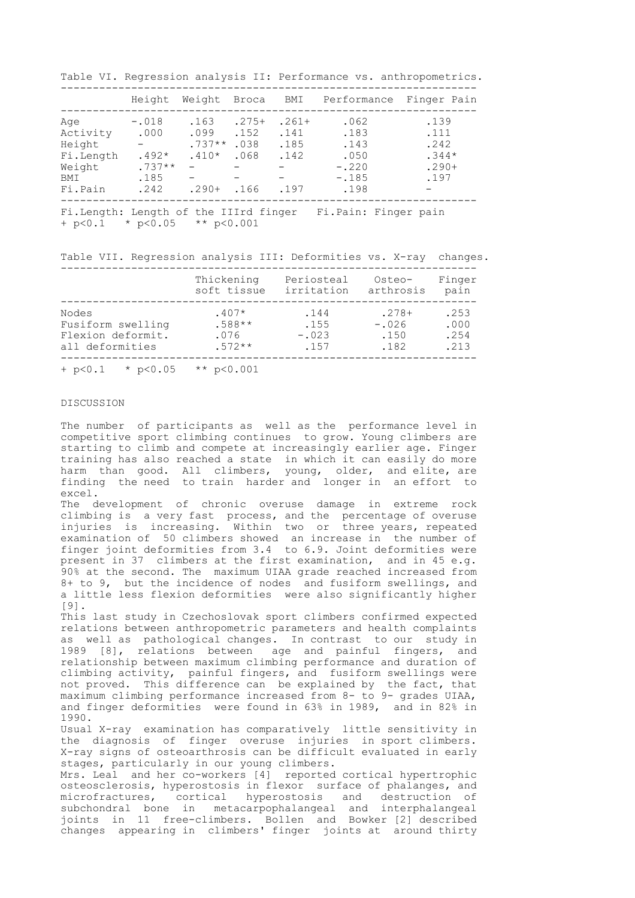Table VI. Regression analysis II: Performance vs. anthropometrics.

|           | Height   | Weight   | Broca   | BMI     | Performance                                                      | Finger Pain |
|-----------|----------|----------|---------|---------|------------------------------------------------------------------|-------------|
| Aqe       | $-.018$  | .163     | $.275+$ | $.261+$ | .062                                                             | .139        |
| Activity  | .000     | .099     | .152    | .141    | .183                                                             | .111        |
| Height    |          | $.737**$ | .038    | .185    | .143                                                             | .242        |
| Fi.Length | $.492*$  | $.410*$  | .068    | .142    | .050                                                             | $.344*$     |
| Weight    | $.737**$ |          |         |         | $-.220$                                                          | $.290+$     |
| BMI       | .185     |          |         |         | $-.185$                                                          | .197        |
|           | .242     | $.290+$  | .166    | .197    | .198                                                             |             |
| Fi.Pain   |          |          |         |         | - 青さいま こうしんしょう まっこうしん しょうしん しょうしゅう ほうしゅう こうしょうしょう こうしゅう こうしゅうしょう |             |

Fi.Length: Length of the IIIrd finger Fi.Pain: Finger pain + p<0.1 \* p<0.05 \*\* p<0.001

Table VII. Regression analysis III: Deformities vs. X-ray changes.

|                               | Thickening     | Periosteal | Osteo-    | Finger |
|-------------------------------|----------------|------------|-----------|--------|
|                               | soft tissue    | irritation | arthrosis | pain   |
| Nodes                         | $.407*$        | .144       | $.278+$   | .253   |
| Fusiform swelling             | $.588**$       | .155       | $-.026$   | .000   |
| Flexion deformit.             | .076           | $-.023$    | .150      | .254   |
| all deformities               | $.572**$       | .157       | .182      | .213   |
| * $p < 0.05$<br>$+$ p $< 0.1$ | ** $p < 0.001$ |            |           |        |

# DISCUSSION

The number of participants as well as the performance level in competitive sport climbing continues to grow. Young climbers are starting to climb and compete at increasingly earlier age. Finger training has also reached a state in which it can easily do more harm than good. All climbers, young, older, and elite, are finding the need to train harder and longer in an effort to excel.

The development of chronic overuse damage in extreme rock climbing is a very fast process, and the percentage of overuse injuries is increasing. Within two or three years, repeated examination of 50 climbers showed an increase in the number of finger joint deformities from 3.4 to 6.9. Joint deformities were present in 37 climbers at the first examination, and in 45 e.g. 90% at the second. The maximum UIAA grade reached increased from 8+ to 9, but the incidence of nodes and fusiform swellings, and a little less flexion deformities were also significantly higher [9].

This last study in Czechoslovak sport climbers confirmed expected relations between anthropometric parameters and health complaints as well as pathological changes. In contrast to our study in 1989 [8], relations between age and painful fingers, and relationship between maximum climbing performance and duration of climbing activity, painful fingers, and fusiform swellings were not proved. This difference can be explained by the fact, that maximum climbing performance increased from 8- to 9- grades UIAA, and finger deformities were found in 63% in 1989, and in 82% in 1990.

Usual X-ray examination has comparatively little sensitivity in the diagnosis of finger overuse injuries in sport climbers. X-ray signs of osteoarthrosis can be difficult evaluated in early stages, particularly in our young climbers.

Mrs. Leal and her co-workers [4] reported cortical hypertrophic osteosclerosis, hyperostosis in flexor surface of phalanges, and microfractures, cortical hyperostosis and destruction of subchondral bone in metacarpophalangeal and interphalangeal joints in 11 free-climbers. Bollen and Bowker [2] described changes appearing in climbers' finger joints at around thirty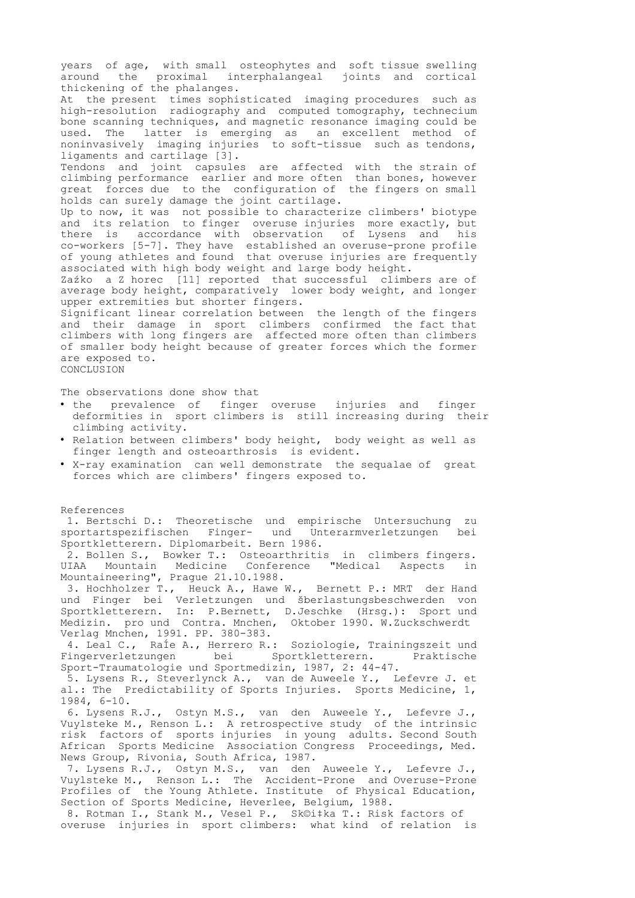years of age, with small osteophytes and soft tissue swelling around the proximal interphalangeal joints and cortical thickening of the phalanges. At the present times sophisticated imaging procedures such as high-resolution radiography and computed tomography, technecium bone scanning techniques, and magnetic resonance imaging could be used. The latter is emerging as an excellent method of noninvasively imaging injuries to soft-tissue such as tendons, ligaments and cartilage [3]. Tendons and joint capsules are affected with the strain of climbing performance earlier and more often than bones, however great forces due to the configuration of the fingers on small holds can surely damage the joint cartilage. Up to now, it was not possible to characterize climbers' biotype and its relation to finger overuse injuries more exactly, but there is accordance with observation of Lysens and his co-workers [5-7]. They have established an overuse-prone profile of young athletes and found that overuse injuries are frequently associated with high body weight and large body height. Zaźko a Z horec [11] reported that successful climbers are of average body height, comparatively lower body weight, and longer upper extremities but shorter fingers. Significant linear correlation between the length of the fingers and their damage in sport climbers confirmed the fact that climbers with long fingers are affected more often than climbers of smaller body height because of greater forces which the former are exposed to. CONCLUSION The observations done show that • the prevalence of finger overuse injuries and finger deformities in sport climbers is still increasing during their climbing activity. • Relation between climbers' body height, body weight as well as finger length and osteoarthrosis is evident. • X-ray examination can well demonstrate the sequalae of great forces which are climbers' fingers exposed to. References 1. Bertschi D.: Theoretische und empirische Untersuchung zu sportartspezifischen Finger- und Unterarmverletzungen bei Sportkletterern. Diplomarbeit. Bern 1986. 2. Bollen S., Bowker T.: Osteoarthritis in climbers fingers.<br>UIAA Mountain Medicine Conference "Medical Aspects in Conference "Medical Aspects in Mountaineering", Prague 21.10.1988. 3. Hochholzer T., Heuck A., Hawe W., Bernett P.: MRT der Hand und Finger bei Verletzungen und šberlastungsbeschwerden von Sportkletterern. In: P.Bernett, D.Jeschke (Hrsg.): Sport und Medizin. pro und Contra. Mnchen, Oktober 1990. W.Zuckschwerdt Verlag Mnchen, 1991. PP. 380-383. 4. Leal C., RaÍe A., Herrero R.: Soziologie, Trainingszeit und Fingerverletzungen bei Sportkletterern. Praktische Sport-Traumatologie und Sportmedizin, 1987, 2: 44-47. 5. Lysens R., Steverlynck A., van de Auweele Y., Lefevre J. et al.: The Predictability of Sports Injuries. Sports Medicine, 1, 1984, 6-10. 6. Lysens R.J., Ostyn M.S., van den Auweele Y., Lefevre J., Vuylsteke M., Renson L.: A retrospective study of the intrinsic risk factors of sports injuries in young adults. Second South African Sports Medicine Association Congress Proceedings, Med. News Group, Rivonia, South Africa, 1987. 7. Lysens R.J., Ostyn M.S., van den Auweele Y., Lefevre J., Vuylsteke M., Renson L.: The Accident-Prone and Overuse-Prone Profiles of the Young Athlete. Institute of Physical Education, Section of Sports Medicine, Heverlee, Belgium, 1988. 8. Rotman I., Stank M., Vesel P., Sk©i‡ka T.: Risk factors of overuse injuries in sport climbers: what kind of relation is